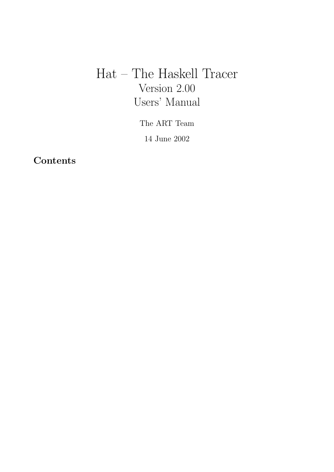# Hat – The Haskell Tracer Version 2.00 Users' Manual

The ART Team

14 June 2002

**Contents**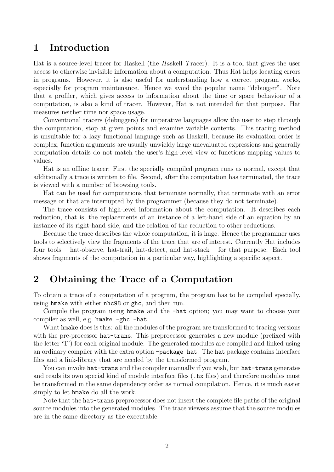# 1 Introduction

Hat is a source-level tracer for Haskell (the Haskell Tracer). It is a tool that gives the user access to otherwise invisible information about a computation. Thus Hat helps locating errors in programs. However, it is also useful for understanding how a correct program works, especially for program maintenance. Hence we avoid the popular name "debugger". Note that a profiler, which gives access to information about the time or space behaviour of a computation, is also a kind of tracer. However, Hat is not intended for that purpose. Hat measures neither time nor space usage.

Conventional tracers (debuggers) for imperative languages allow the user to step through the computation, stop at given points and examine variable contents. This tracing method is unsuitable for a lazy functional language such as Haskell, because its evaluation order is complex, function arguments are usually unwieldy large unevaluated expressions and generally computation details do not match the user's high-level view of functions mapping values to values.

Hat is an offline tracer: First the specially compiled program runs as normal, except that additionally a trace is written to file. Second, after the computation has terminated, the trace is viewed with a number of browsing tools.

Hat can be used for computations that terminate normally, that terminate with an error message or that are interrupted by the programmer (because they do not terminate).

The trace consists of high-level information about the computation. It describes each reduction, that is, the replacements of an instance of a left-hand side of an equation by an instance of its right-hand side, and the relation of the reduction to other reductions.

Because the trace describes the whole computation, it is huge. Hence the programmer uses tools to selectively view the fragments of the trace that are of interest. Currently Hat includes four tools – hat-observe, hat-trail, hat-detect, and hat-stack – for that purpose. Each tool shows fragments of the computation in a particular way, highlighting a specific aspect.

# 2 Obtaining the Trace of a Computation

To obtain a trace of a computation of a program, the program has to be compiled specially, using hmake with either nhc98 or ghc, and then run.

Compile the program using hmake and the -hat option; you may want to choose your compiler as well, e.g. hmake -ghc -hat.

What hmake does is this: all the modules of the program are transformed to tracing versions with the pre-processor hat-trans. This preprocessor generates a new module (prefixed with the letter 'T') for each original module. The generated modules are compiled and linked using an ordinary compiler with the extra option -package hat. The hat package contains interface files and a link-library that are needed by the transformed program.

You can invoke hat-trans and the compiler manually if you wish, but hat-trans generates and reads its own special kind of module interface files (.hx files) and therefore modules must be transformed in the same dependency order as normal compilation. Hence, it is much easier simply to let hmake do all the work.

Note that the hat-trans preprocessor does not insert the complete file paths of the original source modules into the generated modules. The trace viewers assume that the source modules are in the same directory as the executable.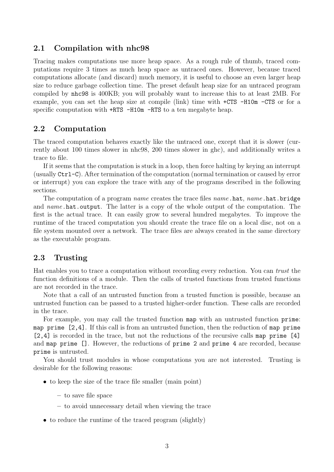## 2.1 Compilation with nhc98

Tracing makes computations use more heap space. As a rough rule of thumb, traced computations require 3 times as much heap space as untraced ones. However, because traced computations allocate (and discard) much memory, it is useful to choose an even larger heap size to reduce garbage collection time. The preset default heap size for an untraced program compiled by nhc98 is 400KB; you will probably want to increase this to at least 2MB. For example, you can set the heap size at compile (link) time with +CTS -H10m -CTS or for a specific computation with  $+RTS - H10m - RTS$  to a ten megabyte heap.

## 2.2 Computation

The traced computation behaves exactly like the untraced one, except that it is slower (currently about 100 times slower in nhc98, 200 times slower in ghc), and additionally writes a trace to file.

If it seems that the computation is stuck in a loop, then force halting by keying an interrupt (usually Ctrl-C). After termination of the computation (normal termination or caused by error or interrupt) you can explore the trace with any of the programs described in the following sections.

The computation of a program *name* creates the trace files *name*.hat, *name*.hat.bridge and *name*.hat.output. The latter is a copy of the whole output of the computation. The first is the actual trace. It can easily grow to several hundred megabytes. To improve the runtime of the traced computation you should create the trace file on a local disc, not on a file system mounted over a network. The trace files are always created in the same directory as the executable program.

#### 2.3 Trusting

Hat enables you to trace a computation without recording every reduction. You can trust the function definitions of a module. Then the calls of trusted functions from trusted functions are not recorded in the trace.

Note that a call of an untrusted function from a trusted function is possible, because an untrusted function can be passed to a trusted higher-order function. These calls are recorded in the trace.

For example, you may call the trusted function map with an untrusted function prime: map prime [2,4]. If this call is from an untrusted function, then the reduction of map prime [2,4] is recorded in the trace, but not the reductions of the recursive calls map prime [4] and map prime []. However, the reductions of prime 2 and prime 4 are recorded, because prime is untrusted.

You should trust modules in whose computations you are not interested. Trusting is desirable for the following reasons:

- to keep the size of the trace file smaller (main point)
	- to save file space
	- to avoid unnecessary detail when viewing the trace
- to reduce the runtime of the traced program (slightly)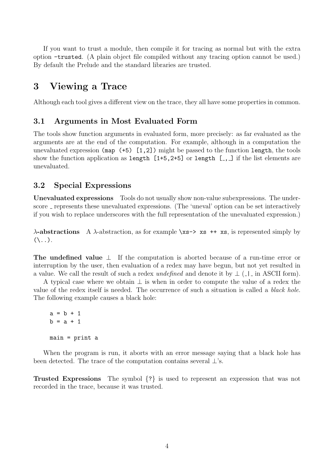If you want to trust a module, then compile it for tracing as normal but with the extra option -trusted. (A plain object file compiled without any tracing option cannot be used.) By default the Prelude and the standard libraries are trusted.

# 3 Viewing a Trace

Although each tool gives a different view on the trace, they all have some properties in common.

#### 3.1 Arguments in Most Evaluated Form

The tools show function arguments in evaluated form, more precisely: as far evaluated as the arguments are at the end of the computation. For example, although in a computation the unevaluated expression (map  $(+5)$  [1,2]) might be passed to the function length, the tools show the function application as length  $[1+5,2+5]$  or length  $[-, ]$  if the list elements are unevaluated.

## 3.2 Special Expressions

Unevaluated expressions Tools do not usually show non-value subexpressions. The underscore represents these unevaluated expressions. (The 'uneval' option can be set interactively if you wish to replace underscores with the full representation of the unevaluated expression.)

 $\lambda$ -abstractions A  $\lambda$ -abstraction, as for example \xs-> xs ++ xs, is represented simply by  $( \langle . . . \rangle)$ .

The undefined value  $\perp$  If the computation is aborted because of a run-time error or interruption by the user, then evaluation of a redex may have begun, but not yet resulted in a value. We call the result of such a redex *undefined* and denote it by  $\perp$  ( $\perp$ ) in ASCII form).

A typical case where we obtain  $\perp$  is when in order to compute the value of a redex the value of the redex itself is needed. The occurrence of such a situation is called a black hole. The following example causes a black hole:

```
a = b + 1b = a + 1main = print a
```
When the program is run, it aborts with an error message saying that a black hole has been detected. The trace of the computation contains several  $\perp$ 's.

Trusted Expressions The symbol {?} is used to represent an expression that was not recorded in the trace, because it was trusted.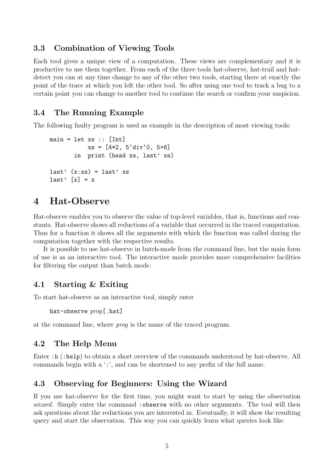## 3.3 Combination of Viewing Tools

Each tool gives a unique view of a computation. These views are complementary and it is productive to use them together. From each of the three tools hat-observe, hat-trail and hatdetect you can at any time change to any of the other two tools, starting there at exactly the point of the trace at which you left the other tool. So after using one tool to track a bug to a certain point you can change to another tool to continue the search or confirm your suspicion.

# 3.4 The Running Example

The following faulty program is used as example in the description of most viewing tools:

```
main = let xs :: [Int]xs = [4*2, 5'div'0, 5+6]in print (head xs, last' xs)
last' (x:xs) = last' xs
last' [x] = x
```
# 4 Hat-Observe

Hat-observe enables you to observe the value of top-level variables, that is, functions and constants. Hat-observe shows all reductions of a variable that occurred in the traced computation. Thus for a function it shows all the arguments with which the function was called during the computation together with the respective results.

It is possible to use hat-observe in batch-mode from the command line, but the main form of use is as an interactive tool. The interactive mode provides more comprehensive facilities for filtering the output than batch mode.

#### 4.1 Starting & Exiting

To start hat-observe as an interactive tool, simply enter

hat-observe prog[.hat]

at the command line, where prog is the name of the traced program.

#### 4.2 The Help Menu

Enter : h (:help) to obtain a short overview of the commands understood by hat-observe. All commands begin with a ':', and can be shortened to any prefix of the full name.

## 4.3 Observing for Beginners: Using the Wizard

If you use hat-observe for the first time, you might want to start by using the observation wizard. Simply enter the command : observe with no other arguments. The tool will then ask questions about the reductions you are interested in. Eventually, it will show the resulting query and start the observation. This way you can quickly learn what queries look like.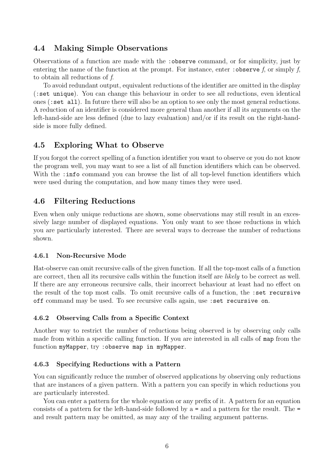## 4.4 Making Simple Observations

Observations of a function are made with the :observe command, or for simplicity, just by entering the name of the function at the prompt. For instance, enter : observe f, or simply f, to obtain all reductions of f.

To avoid redundant output, equivalent reductions of the identifier are omitted in the display (:set unique). You can change this behaviour in order to see all reductions, even identical ones (:set all). In future there will also be an option to see only the most general reductions. A reduction of an identifier is considered more general than another if all its arguments on the left-hand-side are less defined (due to lazy evaluation) and/or if its result on the right-handside is more fully defined.

# 4.5 Exploring What to Observe

If you forgot the correct spelling of a function identifier you want to observe or you do not know the program well, you may want to see a list of all function identifiers which can be observed. With the : info command you can browse the list of all top-level function identifiers which were used during the computation, and how many times they were used.

# 4.6 Filtering Reductions

Even when only unique reductions are shown, some observations may still result in an excessively large number of displayed equations. You only want to see those reductions in which you are particularly interested. There are several ways to decrease the number of reductions shown.

#### 4.6.1 Non-Recursive Mode

Hat-observe can omit recursive calls of the given function. If all the top-most calls of a function are correct, then all its recursive calls within the function itself are likely to be correct as well. If there are any erroneous recursive calls, their incorrect behaviour at least had no effect on the result of the top most calls. To omit recursive calls of a function, the :set recursive off command may be used. To see recursive calls again, use :set recursive on.

#### 4.6.2 Observing Calls from a Specific Context

Another way to restrict the number of reductions being observed is by observing only calls made from within a specific calling function. If you are interested in all calls of map from the function myMapper, try :observe map in myMapper.

#### 4.6.3 Specifying Reductions with a Pattern

You can significantly reduce the number of observed applications by observing only reductions that are instances of a given pattern. With a pattern you can specify in which reductions you are particularly interested.

You can enter a pattern for the whole equation or any prefix of it. A pattern for an equation consists of a pattern for the left-hand-side followed by a = and a pattern for the result. The = and result pattern may be omitted, as may any of the trailing argument patterns.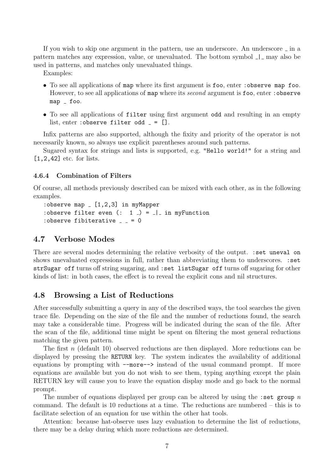If you wish to skip one argument in the pattern, use an underscore. An underscore  $\overline{\ }$  in a pattern matches any expression, value, or unevaluated. The bottom symbol  $\Box$  may also be used in patterns, and matches only unevaluated things.

Examples:

- To see all applications of map where its first argument is foo, enter : observe map foo. However, to see all applications of map where its *second* argument is foo, enter : observe map \_ foo.
- To see all applications of filter using first argument odd and resulting in an empty list, enter : observe filter odd  $=$  [].

Infix patterns are also supported, although the fixity and priority of the operator is not necessarily known, so always use explicit parentheses around such patterns.

Sugared syntax for strings and lists is supported, e.g. "Hello world!" for a string and [1,2,42] etc. for lists.

#### 4.6.4 Combination of Filters

Of course, all methods previously described can be mixed with each other, as in the following examples.

```
:observe map [1,2,3] in myMapper
:observe filter even (: 1 _ ) = | in myFunction
: observe fibiterative = = 0
```
## 4.7 Verbose Modes

There are several modes determining the relative verbosity of the output. :set uneval on shows unevaluated expressions in full, rather than abbreviating them to underscores. : set strSugar off turns off string sugaring, and :set listSugar off turns off sugaring for other kinds of list: in both cases, the effect is to reveal the explicit cons and nil structures.

#### 4.8 Browsing a List of Reductions

After successfully submitting a query in any of the described ways, the tool searches the given trace file. Depending on the size of the file and the number of reductions found, the search may take a considerable time. Progress will be indicated during the scan of the file. After the scan of the file, additional time might be spent on filtering the most general reductions matching the given pattern.

The first n (default 10) observed reductions are then displayed. More reductions can be displayed by pressing the RETURN key. The system indicates the availability of additional equations by prompting with --more--> instead of the usual command prompt. If more equations are available but you do not wish to see them, typing anything except the plain RETURN key will cause you to leave the equation display mode and go back to the normal prompt.

The number of equations displayed per group can be altered by using the :set group  $n$ command. The default is 10 reductions at a time. The reductions are numbered – this is to facilitate selection of an equation for use within the other hat tools.

Attention: because hat-observe uses lazy evaluation to determine the list of reductions, there may be a delay during which more reductions are determined.